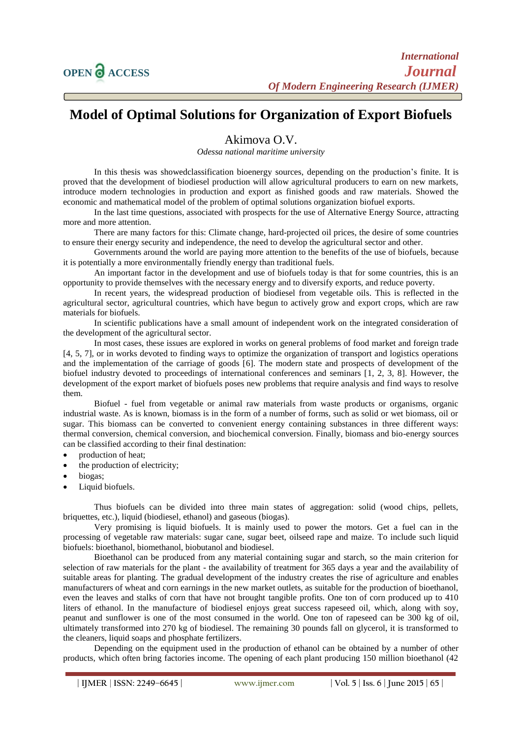## **Model of Optimal Solutions for Organization of Export Biofuels**

## Akimova O.V.

*Odessa national maritime university*

In this thesis was showedclassification bioenergy sources, depending on the production's finite. It is proved that the development of biodiesel production will allow agricultural producers to earn on new markets, introduce modern technologies in production and export as finished goods and raw materials. Showed the economic and mathematical model of the problem of optimal solutions organization biofuel exports.

In the last time questions, associated with prospects for the use of Alternative Energy Source, attracting more and more attention.

There are many factors for this: Climate change, hard-projected oil prices, the desire of some countries to ensure their energy security and independence, the need to develop the agricultural sector and other.

Governments around the world are paying more attention to the benefits of the use of biofuels, because it is potentially a more environmentally friendly energy than traditional fuels.

An important factor in the development and use of biofuels today is that for some countries, this is an opportunity to provide themselves with the necessary energy and to diversify exports, and reduce poverty.

In recent years, the widespread production of biodiesel from vegetable oils. This is reflected in the agricultural sector, agricultural countries, which have begun to actively grow and export crops, which are raw materials for biofuels.

In scientific publications have a small amount of independent work on the integrated consideration of the development of the agricultural sector.

In most cases, these issues are explored in works on general problems of food market and foreign trade [4, 5, 7], or in works devoted to finding ways to optimize the organization of transport and logistics operations and the implementation of the carriage of goods [6]. The modern state and prospects of development of the biofuel industry devoted to proceedings of international conferences and seminars [1, 2, 3, 8]. However, the development of the export market of biofuels poses new problems that require analysis and find ways to resolve them.

Biofuel - fuel from vegetable or animal raw materials from waste products or organisms, organic industrial waste. As is known, biomass is in the form of a number of forms, such as solid or wet biomass, oil or sugar. This biomass can be converted to convenient energy containing substances in three different ways: thermal conversion, chemical conversion, and biochemical conversion. Finally, biomass and bio-energy sources can be classified according to their final destination:

- production of heat;
- the production of electricity;
- biogas;
- Liquid biofuels.

Thus biofuels can be divided into three main states of aggregation: solid (wood chips, pellets, briquettes, etc.), liquid (biodiesel, ethanol) and gaseous (biogas).

Very promising is liquid biofuels. It is mainly used to power the motors. Get a fuel can in the processing of vegetable raw materials: sugar cane, sugar beet, oilseed rape and maize. To include such liquid biofuels: bioethanol, biomethanol, biobutanol and biodiesel.

Bioethanol can be produced from any material containing sugar and starch, so the main criterion for selection of raw materials for the plant - the availability of treatment for 365 days a year and the availability of suitable areas for planting. The gradual development of the industry creates the rise of agriculture and enables manufacturers of wheat and corn earnings in the new market outlets, as suitable for the production of bioethanol, even the leaves and stalks of corn that have not brought tangible profits. One ton of corn produced up to 410 liters of ethanol. In the manufacture of biodiesel enjoys great success rapeseed oil, which, along with soy, peanut and sunflower is one of the most consumed in the world. One ton of rapeseed can be 300 kg of oil, ultimately transformed into 270 kg of biodiesel. The remaining 30 pounds fall on glycerol, it is transformed to the cleaners, liquid soaps and phosphate fertilizers.

Depending on the equipment used in the production of ethanol can be obtained by a number of other products, which often bring factories income. The opening of each plant producing 150 million bioethanol (42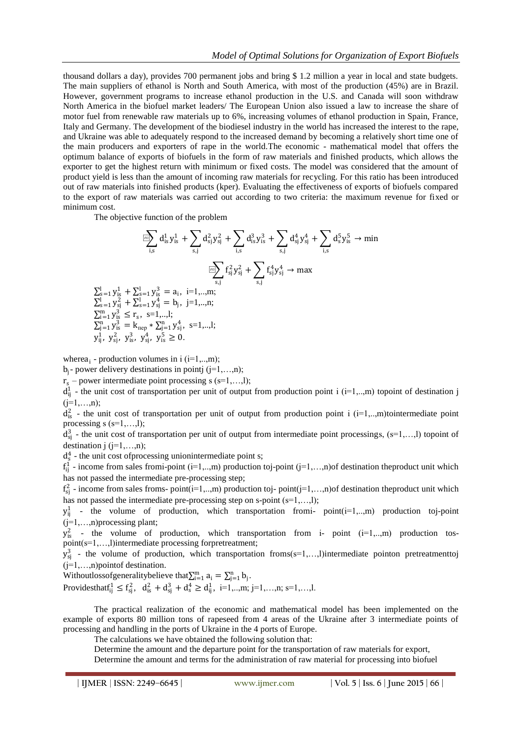thousand dollars a day), provides 700 permanent jobs and bring \$ 1.2 million a year in local and state budgets. The main suppliers of ethanol is North and South America, with most of the production (45%) are in Brazil. However, government programs to increase ethanol production in the U.S. and Canada will soon withdraw North America in the biofuel market leaders/ The European Union also issued a law to increase the share of motor fuel from renewable raw materials up to 6%, increasing volumes of ethanol production in Spain, France, Italy and Germany. The development of the biodiesel industry in the world has increased the interest to the rape, and Ukraine was able to adequately respond to the increased demand by becoming a relatively short time one of the main producers and exporters of rape in the world.The economic - mathematical model that offers the optimum balance of exports of biofuels in the form of raw materials and finished products, which allows the exporter to get the highest return with minimum or fixed costs. The model was considered that the amount of product yield is less than the amount of incoming raw materials for recycling. For this ratio has been introduced out of raw materials into finished products (kper). Evaluating the effectiveness of exports of biofuels compared to the export of raw materials was carried out according to two criteria: the maximum revenue for fixed or minimum cost.

The objective function of the problem

$$
\begin{aligned}\n\text{Var} & \sum_{i,s} d_{is}^1 y_{is}^1 + \sum_{s,j} d_{sj}^2 y_{sj}^2 + \sum_{i,s} d_{is}^3 y_{is}^3 + \sum_{s,j} d_{sj}^4 y_{sj}^4 + \sum_{i,s} d_{s}^5 y_{is}^5 \to \min \\
& \sum_{s=1}^{1} y_{is}^1 + \sum_{s=1}^{1} y_{is}^2 = a_i, \quad i=1,...,m; \\
\sum_{s=1}^{N} y_{sj}^2 + \sum_{s=1}^{1} y_{sj}^3 = b_j, \quad j=1,...,n; \\
\sum_{i=1}^{m} y_{is}^3 \le r_s, \quad s=1,...,l; \\
\sum_{i=1}^{n} y_{is}^3 = k_{\text{rep}} * \sum_{i=1}^{n} y_{sj}^4, \quad s=1,...,l; \\
y_{ij}^1, \quad y_{sj}^2, \quad y_{is}^3, \quad y_{sj}^4, \quad y_{is}^5 \ge 0.\n\end{aligned}
$$

wherea<sub>i</sub> - production volumes in i (i=1,..,m);

 $b_j$ - power delivery destinations in pointj (j=1,...,n);

 $r_s$  – power intermediate point processing s (s=1,...,l);

 $d_{ij}^1$  - the unit cost of transportation per unit of output from production point i (i=1,..,m) topoint of destination j  $(i=1,...,n)$ ;

 $d_{is}^2$  - the unit cost of transportation per unit of output from production point i (i=1,..,m)tointermediate point processing  $s$  ( $s=1,...,l$ );

 $d_{sj}^3$  - the unit cost of transportation per unit of output from intermediate point processings, (s=1,...,l) topoint of destination  $j$  ( $j=1,...,n$ );

 $d_s^4$  - the unit cost of processing unionintermediate point s;

 $f_{ij}^1$  - income from sales fromi-point (i=1,...,m) production toj-point (j=1,...,n) of destination the product unit which has not passed the intermediate pre-processing step;

 $f_{sj}^2$  - income from sales froms- point(i=1,...,m) production toj- point(j=1,...,n) of destination the product unit which has not passed the intermediate pre-processing step on s-point (s=1,...,l);

 $y_{ij}^1$  - the volume of production, which transportation from i- point( $i=1,...,m$ ) production toj-point (j=1,…,n)processing plant;

 $y_{is}^2$  - the volume of production, which transportation from i- point (i=1,..,m) production tospoint(s=1,…,l)intermediate processing forpretreatment;

 $y_{sj}^3$  - the volume of production, which transportation froms(s=1,...,l)intermediate pointon pretreatmenttoj  $(j=1,...,n)$  point of destination.

Withoutloss of generality believe that  $\sum_{i=1}^{m} a_i = \sum_{j=1}^{n} b_j$ .

Provides that  $f_{ij}^1 \le f_{sj}^2$ ,  $d_{is}^2 + d_{sj}^3 + d_s^4 \ge d_{ij}^1$ , i=1,..,m; j=1,...,n; s=1,...,l.

The practical realization of the economic and mathematical model has been implemented on the example of exports 80 million tons of rapeseed from 4 areas of the Ukraine after 3 intermediate points of processing and handling in the ports of Ukraine in the 4 ports of Europe.

The calculations we have obtained the following solution that:

Determine the amount and the departure point for the transportation of raw materials for export, Determine the amount and terms for the administration of raw material for processing into biofuel